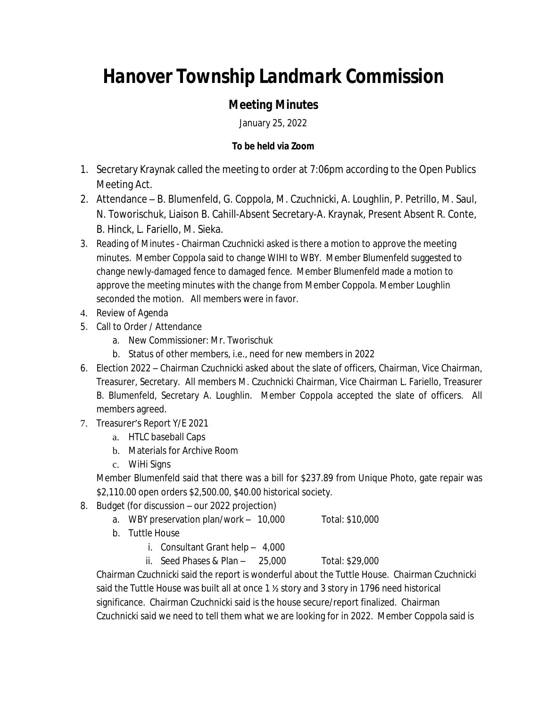## *Hanover Township Landmark Commission*

## *Meeting Minutes*

January 25, 2022

## **To be held via Zoom**

- 1. Secretary Kraynak called the meeting to order at 7:06pm according to the Open Publics Meeting Act.
- 2. Attendance B. Blumenfeld, G. Coppola, M. Czuchnicki, A. Loughlin, P. Petrillo, M. Saul, N. Toworischuk, Liaison B. Cahill-Absent Secretary-A. Kraynak, Present Absent R. Conte, B. Hinck, L. Fariello, M. Sieka.
- 3. Reading of Minutes Chairman Czuchnicki asked is there a motion to approve the meeting minutes. Member Coppola said to change WIHI to WBY. Member Blumenfeld suggested to change newly-damaged fence to damaged fence. Member Blumenfeld made a motion to approve the meeting minutes with the change from Member Coppola. Member Loughlin seconded the motion. All members were in favor.
- 4. Review of Agenda
- 5. Call to Order / Attendance
	- a. New Commissioner: Mr. Tworischuk
	- b. Status of other members, i.e., need for new members in 2022
- 6. Election 2022 Chairman Czuchnicki asked about the slate of officers, Chairman, Vice Chairman, Treasurer, Secretary. All members M. Czuchnicki Chairman, Vice Chairman L. Fariello, Treasurer B. Blumenfeld, Secretary A. Loughlin. Member Coppola accepted the slate of officers. All members agreed.
- 7. Treasurer's Report Y/E 2021
	- a. HTLC baseball Caps
	- b. Materials for Archive Room
	- c. WiHi Signs

Member Blumenfeld said that there was a bill for \$237.89 from Unique Photo, gate repair was \$2,110.00 open orders \$2,500.00, \$40.00 historical society.

- 8. Budget (for discussion our 2022 projection)
	- a. WBY preservation plan/work 10,000 Total: \$10,000
	- b. Tuttle House
		- i. Consultant Grant help 4,000
		- ii. Seed Phases & Plan 25,000 Total: \$29,000

Chairman Czuchnicki said the report is wonderful about the Tuttle House. Chairman Czuchnicki said the Tuttle House was built all at once 1 ½ story and 3 story in 1796 need historical significance. Chairman Czuchnicki said is the house secure/report finalized. Chairman Czuchnicki said we need to tell them what we are looking for in 2022. Member Coppola said is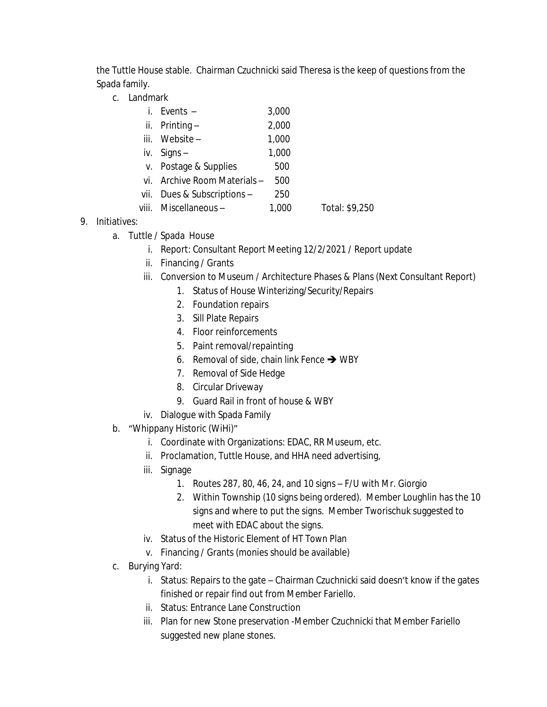the Tuttle House stable. Chairman Czuchnicki said Theresa is the keep of questions from the Spada family.

c. Landmark

| i. Events $-$                | 3,000 |  |
|------------------------------|-------|--|
| ii. Printing $-$             | 2,000 |  |
| iii. Website-                | 1,000 |  |
| iv. Signs $-$                | 1,000 |  |
| v. Postage & Supplies        | 500   |  |
| vi. Archive Room Materials - | 500   |  |
| vii. Dues & Subscriptions -  | 250   |  |
|                              |       |  |

- viii. Miscellaneous 1,000 Total: \$9,250
- 9. Initiatives:
	- a. Tuttle / Spada House
		- i. Report: Consultant Report Meeting 12/2/2021 / Report update
		- ii. Financing / Grants
		- iii. Conversion to Museum / Architecture Phases & Plans (Next Consultant Report)
			- 1. Status of House Winterizing/Security/Repairs
			- 2. Foundation repairs
			- 3. Sill Plate Repairs
			- 4. Floor reinforcements
			- 5. Paint removal/repainting
			- 6. Removal of side, chain link Fence  $\rightarrow$  WBY
			- 7. Removal of Side Hedge
			- 8. Circular Driveway
			- 9. Guard Rail in front of house & WBY
		- iv. Dialogue with Spada Family
	- b. "Whippany Historic (WiHi)"
		- i. Coordinate with Organizations: EDAC, RR Museum, etc.
		- ii. Proclamation, Tuttle House, and HHA need advertising,
		- iii. Signage
			- 1. Routes 287, 80, 46, 24, and 10 signs F/U with Mr. Giorgio
			- 2. Within Township (10 signs being ordered). Member Loughlin has the 10 signs and where to put the signs. Member Tworischuk suggested to meet with EDAC about the signs.
		- iv. Status of the Historic Element of HT Town Plan
		- v. Financing / Grants (monies should be available)
	- c. Burying Yard:
		- i. Status: Repairs to the gate Chairman Czuchnicki said doesn't know if the gates finished or repair find out from Member Fariello.
		- ii. Status: Entrance Lane Construction
		- iii. Plan for new Stone preservation -Member Czuchnicki that Member Fariello suggested new plane stones.